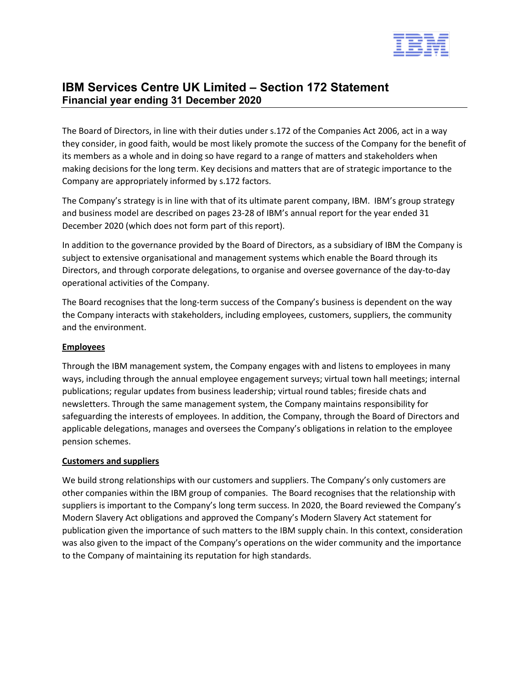

# **IBM Services Centre UK Limited – Section 172 Statement Financial year ending 31 December 2020**

The Board of Directors, in line with their duties under s.172 of the Companies Act 2006, act in a way they consider, in good faith, would be most likely promote the success of the Company for the benefit of its members as a whole and in doing so have regard to a range of matters and stakeholders when making decisions for the long term. Key decisions and matters that are of strategic importance to the Company are appropriately informed by s.172 factors.

The Company's strategy is in line with that of its ultimate parent company, IBM. IBM's group strategy and business model are described on pages 23-28 of IBM's annual report for the year ended 31 December 2020 (which does not form part of this report).

In addition to the governance provided by the Board of Directors, as a subsidiary of IBM the Company is subject to extensive organisational and management systems which enable the Board through its Directors, and through corporate delegations, to organise and oversee governance of the day-to-day operational activities of the Company.

The Board recognises that the long-term success of the Company's business is dependent on the way the Company interacts with stakeholders, including employees, customers, suppliers, the community and the environment.

## **Employees**

Through the IBM management system, the Company engages with and listens to employees in many ways, including through the annual employee engagement surveys; virtual town hall meetings; internal publications; regular updates from business leadership; virtual round tables; fireside chats and newsletters. Through the same management system, the Company maintains responsibility for safeguarding the interests of employees. In addition, the Company, through the Board of Directors and applicable delegations, manages and oversees the Company's obligations in relation to the employee pension schemes.

### **Customers and suppliers**

We build strong relationships with our customers and suppliers. The Company's only customers are other companies within the IBM group of companies. The Board recognises that the relationship with suppliers is important to the Company's long term success. In 2020, the Board reviewed the Company's Modern Slavery Act obligations and approved the Company's Modern Slavery Act statement for publication given the importance of such matters to the IBM supply chain. In this context, consideration was also given to the impact of the Company's operations on the wider community and the importance to the Company of maintaining its reputation for high standards.